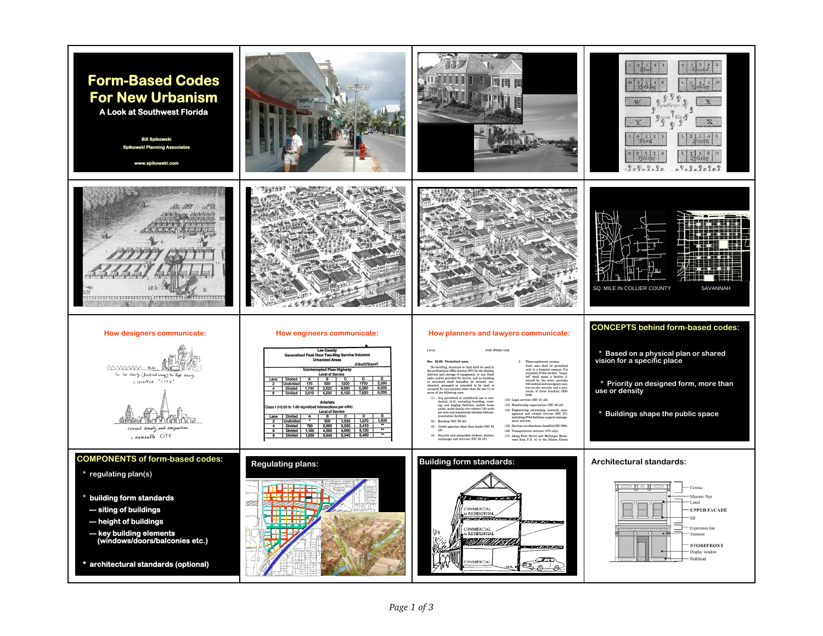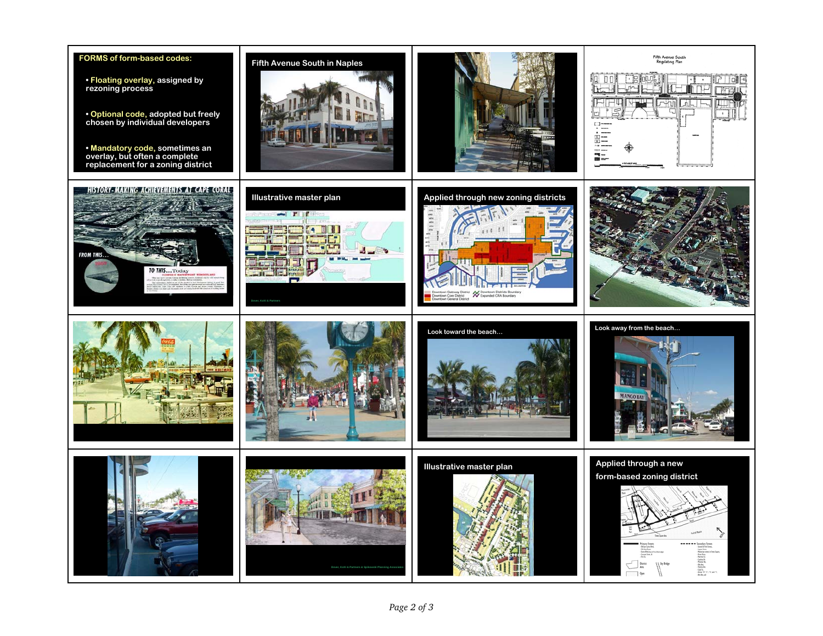